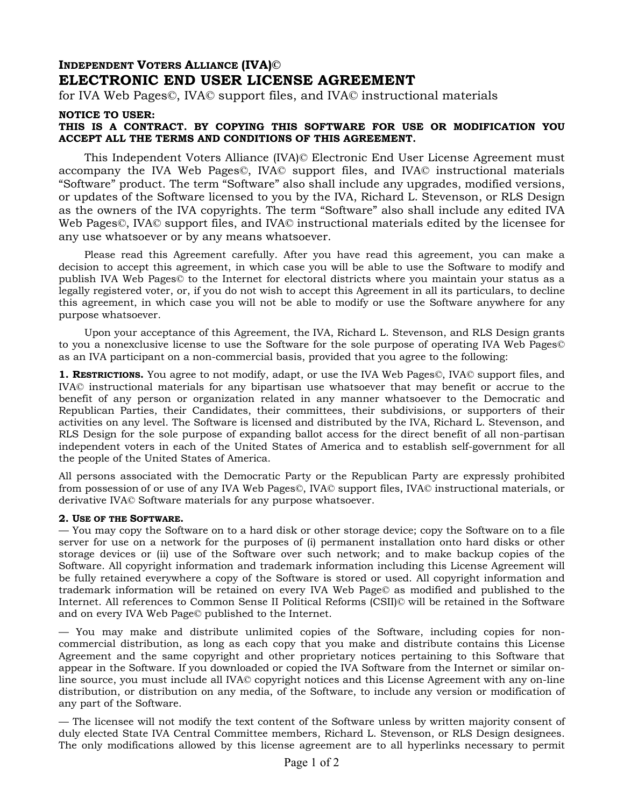## **INDEPENDENT VOTERS ALLIANCE (IVA)© ELECTRONIC END USER LICENSE AGREEMENT**

for IVA Web Pages©, IVA© support files, and IVA© instructional materials

## **NOTICE TO USER:**

## **THIS IS A CONTRACT. BY COPYING THIS SOFTWARE FOR USE OR MODIFICATION YOU ACCEPT ALL THE TERMS AND CONDITIONS OF THIS AGREEMENT.**

This Independent Voters Alliance (IVA)© Electronic End User License Agreement must accompany the IVA Web Pages©, IVA© support files, and IVA© instructional materials "Software" product. The term "Software" also shall include any upgrades, modified versions, or updates of the Software licensed to you by the IVA, Richard L. Stevenson, or RLS Design as the owners of the IVA copyrights. The term "Software" also shall include any edited IVA Web Pages©, IVA© support files, and IVA© instructional materials edited by the licensee for any use whatsoever or by any means whatsoever.

Please read this Agreement carefully. After you have read this agreement, you can make a decision to accept this agreement, in which case you will be able to use the Software to modify and publish IVA Web Pages© to the Internet for electoral districts where you maintain your status as a legally registered voter, or, if you do not wish to accept this Agreement in all its particulars, to decline this agreement, in which case you will not be able to modify or use the Software anywhere for any purpose whatsoever.

Upon your acceptance of this Agreement, the IVA, Richard L. Stevenson, and RLS Design grants to you a nonexclusive license to use the Software for the sole purpose of operating IVA Web Pages© as an IVA participant on a non-commercial basis, provided that you agree to the following:

**1. RESTRICTIONS.** You agree to not modify, adapt, or use the IVA Web Pages©, IVA© support files, and IVA© instructional materials for any bipartisan use whatsoever that may benefit or accrue to the benefit of any person or organization related in any manner whatsoever to the Democratic and Republican Parties, their Candidates, their committees, their subdivisions, or supporters of their activities on any level. The Software is licensed and distributed by the IVA, Richard L. Stevenson, and RLS Design for the sole purpose of expanding ballot access for the direct benefit of all non-partisan independent voters in each of the United States of America and to establish self-government for all the people of the United States of America.

All persons associated with the Democratic Party or the Republican Party are expressly prohibited from possession of or use of any IVA Web Pages©, IVA© support files, IVA© instructional materials, or derivative IVA© Software materials for any purpose whatsoever.

## **2. USE OF THE SOFTWARE.**

— You may copy the Software on to a hard disk or other storage device; copy the Software on to a file server for use on a network for the purposes of (i) permanent installation onto hard disks or other storage devices or (ii) use of the Software over such network; and to make backup copies of the Software. All copyright information and trademark information including this License Agreement will be fully retained everywhere a copy of the Software is stored or used. All copyright information and trademark information will be retained on every IVA Web Page© as modified and published to the Internet. All references to Common Sense II Political Reforms (CSII)© will be retained in the Software and on every IVA Web Page© published to the Internet.

— You may make and distribute unlimited copies of the Software, including copies for noncommercial distribution, as long as each copy that you make and distribute contains this License Agreement and the same copyright and other proprietary notices pertaining to this Software that appear in the Software. If you downloaded or copied the IVA Software from the Internet or similar online source, you must include all IVA© copyright notices and this License Agreement with any on-line distribution, or distribution on any media, of the Software, to include any version or modification of any part of the Software.

— The licensee will not modify the text content of the Software unless by written majority consent of duly elected State IVA Central Committee members, Richard L. Stevenson, or RLS Design designees. The only modifications allowed by this license agreement are to all hyperlinks necessary to permit